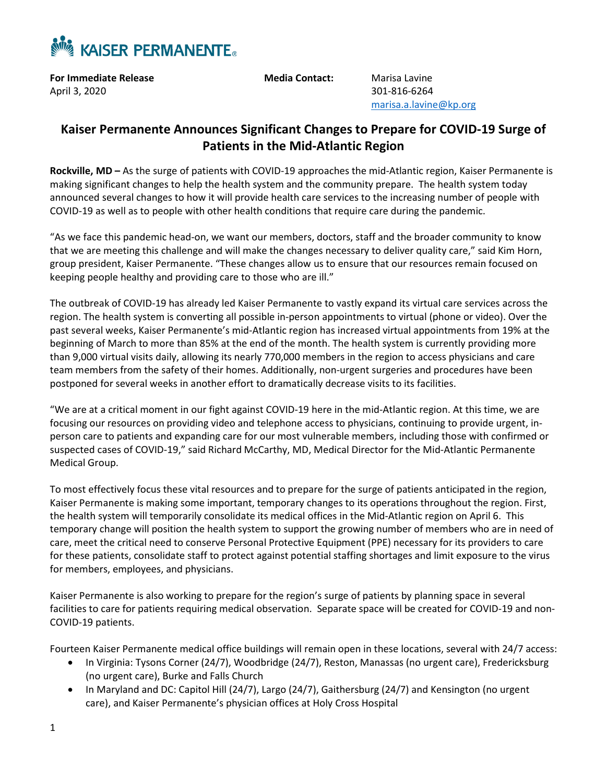

**For Immediate Release Media Contact:** Marisa Lavine April 3, 2020301-816-6264

[marisa.a.lavine@kp.org](mailto:marisa.a.lavine@kp.org)

## **Kaiser Permanente Announces Significant Changes to Prepare for COVID-19 Surge of Patients in the Mid-Atlantic Region**

**Rockville, MD –** As the surge of patients with COVID-19 approaches the mid-Atlantic region, Kaiser Permanente is making significant changes to help the health system and the community prepare. The health system today announced several changes to how it will provide health care services to the increasing number of people with COVID-19 as well as to people with other health conditions that require care during the pandemic.

"As we face this pandemic head-on, we want our members, doctors, staff and the broader community to know that we are meeting this challenge and will make the changes necessary to deliver quality care," said Kim Horn, group president, Kaiser Permanente. "These changes allow us to ensure that our resources remain focused on keeping people healthy and providing care to those who are ill."

The outbreak of COVID-19 has already led Kaiser Permanente to vastly expand its virtual care services across the region. The health system is converting all possible in-person appointments to virtual (phone or video). Over the past several weeks, Kaiser Permanente's mid-Atlantic region has increased virtual appointments from 19% at the beginning of March to more than 85% at the end of the month. The health system is currently providing more than 9,000 virtual visits daily, allowing its nearly 770,000 members in the region to access physicians and care team members from the safety of their homes. Additionally, non-urgent surgeries and procedures have been postponed for several weeks in another effort to dramatically decrease visits to its facilities.

"We are at a critical moment in our fight against COVID-19 here in the mid-Atlantic region. At this time, we are focusing our resources on providing video and telephone access to physicians, continuing to provide urgent, inperson care to patients and expanding care for our most vulnerable members, including those with confirmed or suspected cases of COVID-19," said Richard McCarthy, MD, Medical Director for the Mid-Atlantic Permanente Medical Group.

To most effectively focus these vital resources and to prepare for the surge of patients anticipated in the region, Kaiser Permanente is making some important, temporary changes to its operations throughout the region. First, the health system will temporarily consolidate its medical offices in the Mid-Atlantic region on April 6. This temporary change will position the health system to support the growing number of members who are in need of care, meet the critical need to conserve Personal Protective Equipment (PPE) necessary for its providers to care for these patients, consolidate staff to protect against potential staffing shortages and limit exposure to the virus for members, employees, and physicians.

Kaiser Permanente is also working to prepare for the region's surge of patients by planning space in several facilities to care for patients requiring medical observation. Separate space will be created for COVID-19 and non-COVID-19 patients.

Fourteen Kaiser Permanente medical office buildings will remain open in these locations, several with 24/7 access:

- In Virginia: Tysons Corner (24/7), Woodbridge (24/7), Reston, Manassas (no urgent care), Fredericksburg (no urgent care), Burke and Falls Church
- In Maryland and DC: Capitol Hill (24/7), Largo (24/7), Gaithersburg (24/7) and Kensington (no urgent care), and Kaiser Permanente's physician offices at Holy Cross Hospital